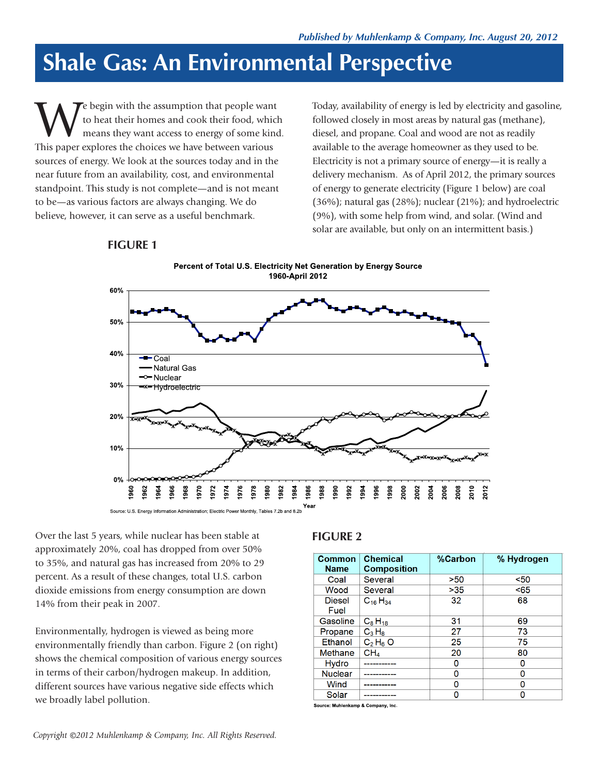## **Shale Gas: An Environmental Perspective**

W e begin with the assumption that people want<br>to heat their homes and cook their food, which<br>means they want access to energy of some kind<br>This paper explores the choices we have between various to heat their homes and cook their food, which means they want access to energy of some kind. This paper explores the choices we have between various sources of energy. We look at the sources today and in the near future from an availability, cost, and environmental standpoint. This study is not complete—and is not meant to be—as various factors are always changing. We do believe, however, it can serve as a useful benchmark.

Today, availability of energy is led by electricity and gasoline, followed closely in most areas by natural gas (methane), diesel, and propane. Coal and wood are not as readily available to the average homeowner as they used to be. Electricity is not a primary source of energy—it is really a delivery mechanism. As of April 2012, the primary sources of energy to generate electricity (Figure 1 below) are coal (36%); natural gas (28%); nuclear (21%); and hydroelectric (9%), with some help from wind, and solar. (Wind and solar are available, but only on an intermittent basis.)

## **FIGURE 1**



Over the last 5 years, while nuclear has been stable at approximately 20%, coal has dropped from over 50% to 35%, and natural gas has increased from 20% to 29 percent. As a result of these changes, total U.S. carbon dioxide emissions from energy consumption are down 14% from their peak in 2007.

Environmentally, hydrogen is viewed as being more environmentally friendly than carbon. Figure 2 (on right) shows the chemical composition of various energy sources in terms of their carbon/hydrogen makeup. In addition, different sources have various negative side effects which we broadly label pollution.

## **FIGURE 2**

| <b>Common</b><br><b>Name</b> | <b>Chemical</b><br><b>Composition</b> | %Carbon | % Hydrogen |
|------------------------------|---------------------------------------|---------|------------|
| Coal                         | Several                               | >50     | $50$       |
| Wood                         | Several                               | >35     | < 65       |
| <b>Diesel</b><br>Fuel        | $C_{16}H_{34}$                        | 32      | 68         |
| Gasoline                     | $C_8H_{18}$                           | 31      | 69         |
| Propane                      | $C_3H_8$                              | 27      | 73         |
| Ethanol                      | $C_2H_6O$                             | 25      | 75         |
| Methane                      | CH <sub>4</sub>                       | 20      | 80         |
| <b>Hydro</b>                 |                                       | n       | O          |
| <b>Nuclear</b>               |                                       | n       | O          |
| Wind                         |                                       | n       | O          |
| Solar                        |                                       | n       | n          |

Source: Muhlenkamp & Company, Inc.